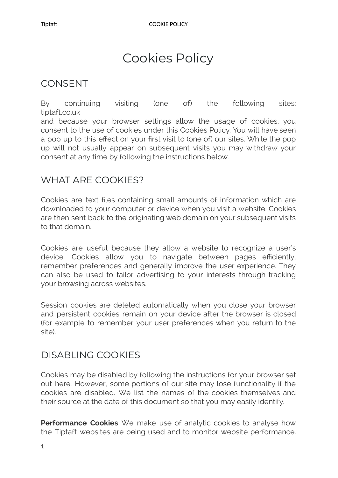# Cookies Policy

#### **CONSENT**

By continuing visiting (one of) the following sites: tiptaft.co.uk and because your browser settings allow the usage of cookies, you consent to the use of cookies under this Cookies Policy. You will have seen a pop up to this effect on your first visit to (one of) our sites. While the pop up will not usually appear on subsequent visits you may withdraw your consent at any time by following the instructions below.

#### WHAT ARE COOKIES?

Cookies are text files containing small amounts of information which are downloaded to your computer or device when you visit a website. Cookies are then sent back to the originating web domain on your subsequent visits to that domain.

Cookies are useful because they allow a website to recognize a user's device. Cookies allow you to navigate between pages efficiently, remember preferences and generally improve the user experience. They can also be used to tailor advertising to your interests through tracking your browsing across websites.

Session cookies are deleted automatically when you close your browser and persistent cookies remain on your device after the browser is closed (for example to remember your user preferences when you return to the site).

## DISABLING COOKIES

Cookies may be disabled by following the instructions for your browser set out here. However, some portions of our site may lose functionality if the cookies are disabled. We list the names of the cookies themselves and their source at the date of this document so that you may easily identify.

**Performance Cookies** We make use of analytic cookies to analyse how the Tiptaft websites are being used and to monitor website performance.